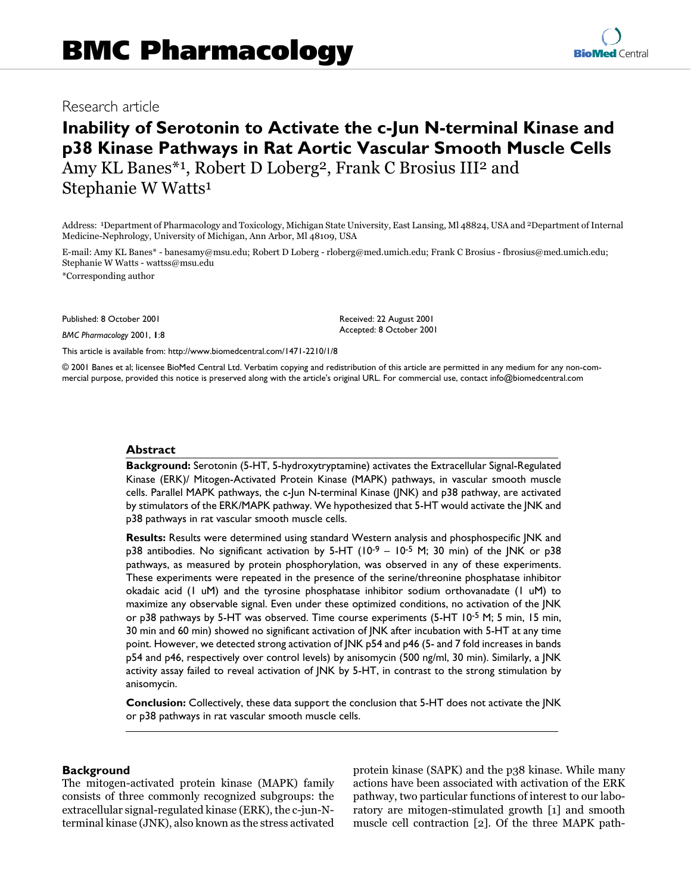## Research article

# **Inability of Serotonin to Activate the c-Jun N-terminal Kinase and p38 Kinase Pathways in Rat Aortic Vascular Smooth Muscle Cells** Amy KL Banes\*1, Robert D Loberg<sup>2</sup>, Frank C Brosius III<sup>2</sup> and Stephanie W Watts<sup>1</sup>

Address: 1Department of Pharmacology and Toxicology, Michigan State University, East Lansing, Ml 48824, USA and 2Department of Internal Medicine-Nephrology, University of Michigan, Ann Arbor, Ml 48109, USA

> Received: 22 August 2001 Accepted: 8 October 2001

E-mail: Amy KL Banes\* - banesamy@msu.edu; Robert D Loberg - rloberg@med.umich.edu; Frank C Brosius - fbrosius@med.umich.edu; Stephanie W Watts - wattss@msu.edu

\*Corresponding author

Published: 8 October 2001

*BMC Pharmacology* 2001, **1**:8

[This article is available from: http://www.biomedcentral.com/1471-2210/1/8](http://www.biomedcentral.com/1471-2210/1/8)

© 2001 Banes et al; licensee BioMed Central Ltd. Verbatim copying and redistribution of this article are permitted in any medium for any non-commercial purpose, provided this notice is preserved along with the article's original URL. For commercial use, contact info@biomedcentral.com

## **Abstract**

**Background:** Serotonin (5-HT, 5-hydroxytryptamine) activates the Extracellular Signal-Regulated Kinase (ERK)/ Mitogen-Activated Protein Kinase (MAPK) pathways, in vascular smooth muscle cells. Parallel MAPK pathways, the c-Jun N-terminal Kinase (JNK) and p38 pathway, are activated by stimulators of the ERK/MAPK pathway. We hypothesized that 5-HT would activate the JNK and p38 pathways in rat vascular smooth muscle cells.

**Results:** Results were determined using standard Western analysis and phosphospecific JNK and p38 antibodies. No significant activation by 5-HT ( $10^{-9}$  –  $10^{-5}$  M; 30 min) of the JNK or p38 pathways, as measured by protein phosphorylation, was observed in any of these experiments. These experiments were repeated in the presence of the serine/threonine phosphatase inhibitor okadaic acid (1 uM) and the tyrosine phosphatase inhibitor sodium orthovanadate (1 uM) to maximize any observable signal. Even under these optimized conditions, no activation of the JNK or p38 pathways by 5-HT was observed. Time course experiments (5-HT 10-5 M; 5 min, 15 min, 30 min and 60 min) showed no significant activation of JNK after incubation with 5-HT at any time point. However, we detected strong activation of JNK p54 and p46 (5- and 7 fold increases in bands p54 and p46, respectively over control levels) by anisomycin (500 ng/ml, 30 min). Similarly, a JNK activity assay failed to reveal activation of JNK by 5-HT, in contrast to the strong stimulation by anisomycin.

**Conclusion:** Collectively, these data support the conclusion that 5-HT does not activate the JNK or p38 pathways in rat vascular smooth muscle cells.

## **Background**

The mitogen-activated protein kinase (MAPK) family consists of three commonly recognized subgroups: the extracellular signal-regulated kinase (ERK), the c-jun-Nterminal kinase (JNK), also known as the stress activated protein kinase (SAPK) and the p38 kinase. While many actions have been associated with activation of the ERK pathway, two particular functions of interest to our laboratory are mitogen-stimulated growth [\[1](#page-5-0)] and smooth muscle cell contraction [[2\]](#page-6-0). Of the three MAPK path-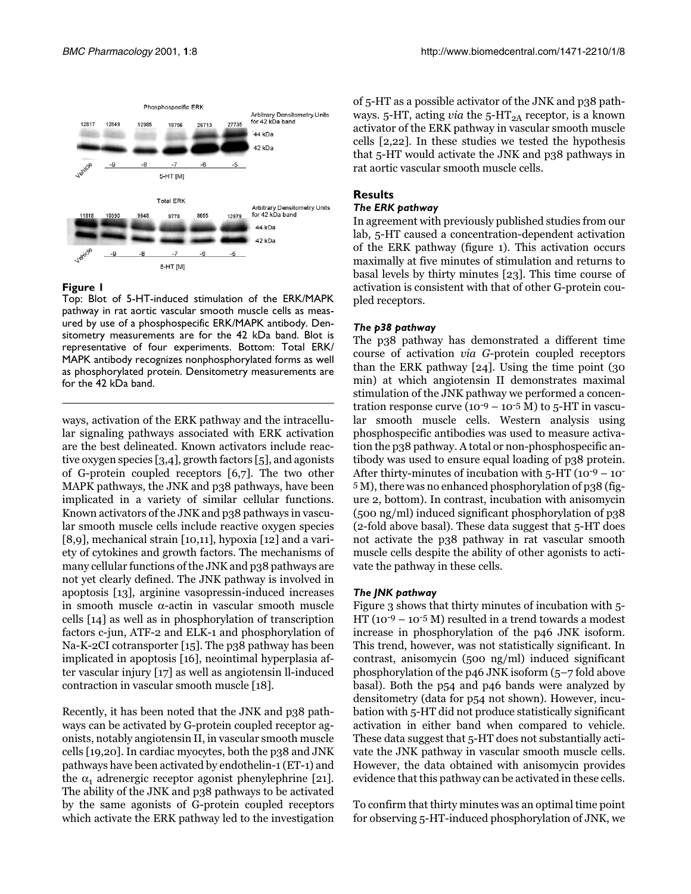

<span id="page-1-0"></span>Top: Blot of 5-HT-induced stimulation of the ERK/MAPK pathway in rat aortic vascular smooth muscle cells as measured by use of a phosphospecific ERK/MAPK antibody. Densitometry measurements are for the 42 kDa band. Blot is representative of four experiments. Bottom: Total ERK/ MAPK antibody recognizes nonphosphorylated forms as well as phosphorylated protein. Densitometry measurements are for the 42 kDa band.

ways, activation of the ERK pathway and the intracellular signaling pathways associated with ERK activation are the best delineated. Known activators include reactive oxygen species [[3](#page-6-1),[4](#page-6-2)], growth factors [\[5](#page-6-3)], and agonists of G-protein coupled receptors [\[6](#page-6-4)[,7](#page-6-5)]. The two other MAPK pathways, the JNK and p38 pathways, have been implicated in a variety of similar cellular functions. Known activators of the JNK and p38 pathways in vascular smooth muscle cells include reactive oxygen species [[8](#page-6-6)[,9\]](#page-6-7), mechanical strain [\[10](#page-6-8),[11](#page-6-9)], hypoxia [\[12\]](#page-6-10) and a variety of cytokines and growth factors. The mechanisms of many cellular functions of the JNK and p38 pathways are not yet clearly defined. The JNK pathway is involved in apoptosis [[13](#page-6-11)], arginine vasopressin-induced increases in smooth muscle α-actin in vascular smooth muscle cells [[14](#page-6-12)] as well as in phosphorylation of transcription factors c-jun, ATF-2 and ELK-1 and phosphorylation of Na-K-2CI cotransporter [\[15](#page-6-13)]. The p38 pathway has been implicated in apoptosis [[16\]](#page-6-14), neointimal hyperplasia after vascular injury [\[17](#page-6-15)] as well as angiotensin ll-induced contraction in vascular smooth muscle [[18\]](#page-6-16).

Recently, it has been noted that the JNK and p38 pathways can be activated by G-protein coupled receptor agonists, notably angiotensin II, in vascular smooth muscle cells [[19](#page-6-17)[,20](#page-6-18)]. In cardiac myocytes, both the p38 and JNK pathways have been activated by endothelin-1 (ET-1) and the  $\alpha_1$  adrenergic receptor agonist phenylephrine [\[21\]](#page-6-19). The ability of the JNK and p38 pathways to be activated by the same agonists of G-protein coupled receptors which activate the ERK pathway led to the investigation of 5-HT as a possible activator of the JNK and p38 pathways. 5-HT, acting *via* the 5-HT<sub>2A</sub> receptor, is a known activator of the ERK pathway in vascular smooth muscle cells [[2](#page-6-0),[22\]](#page-6-20). In these studies we tested the hypothesis that 5-HT would activate the JNK and p38 pathways in rat aortic vascular smooth muscle cells.

## **Results**

## *The ERK pathway*

In agreement with previously published studies from our lab, 5-HT caused a concentration-dependent activation of the ERK pathway (figure [1\)](#page-1-0). This activation occurs maximally at five minutes of stimulation and returns to basal levels by thirty minutes [[23\]](#page-6-21). This time course of activation is consistent with that of other G-protein coupled receptors.

## *The p38 pathway*

The p38 pathway has demonstrated a different time course of activation via G-protein coupled receptors than the ERK pathway [[24\]](#page-6-22). Using the time point (30 min) at which angiotensin II demonstrates maximal stimulation of the JNK pathway we performed a concentration response curve  $(10^{-9} – 10^{-5} M)$  to 5-HT in vascular smooth muscle cells. Western analysis using phosphospecific antibodies was used to measure activation the p38 pathway. A total or non-phosphospecific antibody was used to ensure equal loading of p38 protein. After thirty-minutes of incubation with  $5-HT(10^{-9}-10^{-7})$ 5 M), there was no enhanced phosphorylation of p38 (figure [2,](#page-2-0) bottom). In contrast, incubation with anisomycin (500 ng/ml) induced significant phosphorylation of p38 (2-fold above basal). These data suggest that 5-HT does not activate the p38 pathway in rat vascular smooth muscle cells despite the ability of other agonists to activate the pathway in these cells.

## *The JNK pathway*

Figure [3](#page-2-1) shows that thirty minutes of incubation with 5- HT ( $10^{-9}$  –  $10^{-5}$  M) resulted in a trend towards a modest increase in phosphorylation of the p46 JNK isoform. This trend, however, was not statistically significant. In contrast, anisomycin (500 ng/ml) induced significant phosphorylation of the p46 JNK isoform (5–7 fold above basal). Both the p54 and p46 bands were analyzed by densitometry (data for p54 not shown). However, incubation with 5-HT did not produce statistically significant activation in either band when compared to vehicle. These data suggest that 5-HT does not substantially activate the JNK pathway in vascular smooth muscle cells. However, the data obtained with anisomycin provides evidence that this pathway can be activated in these cells.

To confirm that thirty minutes was an optimal time point for observing 5-HT-induced phosphorylation of JNK, we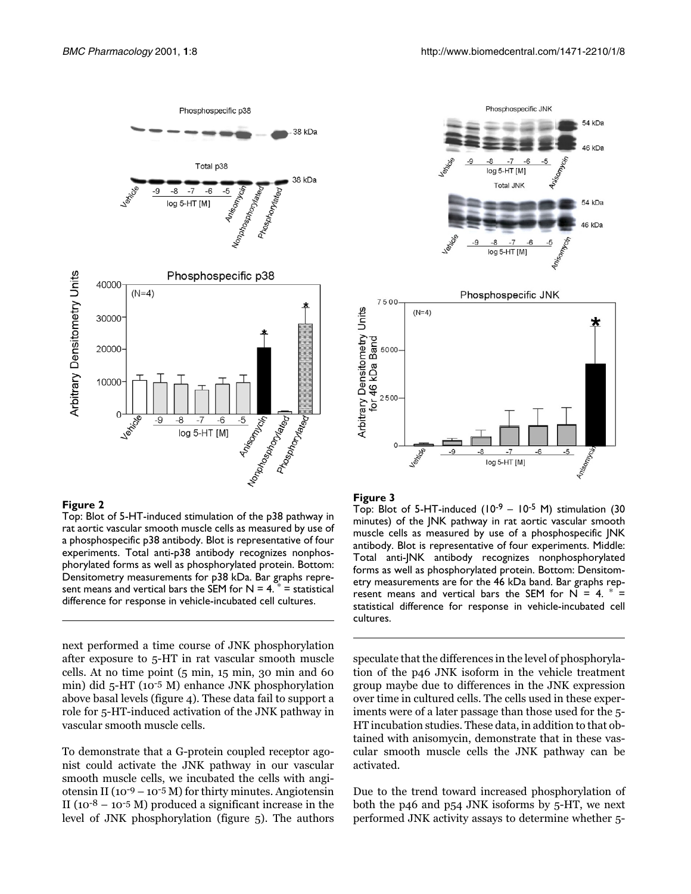

<span id="page-2-0"></span>Top: Blot of 5-HT-induced stimulation of the p38 pathway in rat aortic vascular smooth muscle cells as measured by use of a phosphospecific p38 antibody. Blot is representative of four experiments. Total anti-p38 antibody recognizes nonphosphorylated forms as well as phosphorylated protein. Bottom: Densitometry measurements for p38 kDa. Bar graphs represent means and vertical bars the SEM for  $N = 4$ .  $* =$  statistical difference for response in vehicle-incubated cell cultures.

next performed a time course of JNK phosphorylation after exposure to 5-HT in rat vascular smooth muscle cells. At no time point (5 min, 15 min, 30 min and 60 min) did 5-HT (10-5 M) enhance JNK phosphorylation above basal levels (figure [4\)](#page-3-0). These data fail to support a role for 5-HT-induced activation of the JNK pathway in vascular smooth muscle cells.

To demonstrate that a G-protein coupled receptor agonist could activate the JNK pathway in our vascular smooth muscle cells, we incubated the cells with angiotensin II ( $10^{-9} - 10^{-5}$  M) for thirty minutes. Angiotensin II ( $10^{-8}$  –  $10^{-5}$  M) produced a significant increase in the level of JNK phosphorylation (figure [5](#page-4-0)). The authors





#### <span id="page-2-1"></span>**Figure 3**

Top: Blot of 5-HT-induced  $(10^{-9} - 10^{-5}$  M) stimulation (30 minutes) of the JNK pathway in rat aortic vascular smooth muscle cells as measured by use of a phosphospecific JNK antibody. Blot is representative of four experiments. Middle: Total anti-JNK antibody recognizes nonphosphorylated forms as well as phosphorylated protein. Bottom: Densitometry measurements are for the 46 kDa band. Bar graphs represent means and vertical bars the SEM for N = 4.  $*$  = statistical difference for response in vehicle-incubated cell cultures.

speculate that the differences in the level of phosphorylation of the p46 JNK isoform in the vehicle treatment group maybe due to differences in the JNK expression over time in cultured cells. The cells used in these experiments were of a later passage than those used for the 5- HT incubation studies. These data, in addition to that obtained with anisomycin, demonstrate that in these vascular smooth muscle cells the JNK pathway can be activated.

Due to the trend toward increased phosphorylation of both the p46 and p54 JNK isoforms by 5-HT, we next performed JNK activity assays to determine whether 5-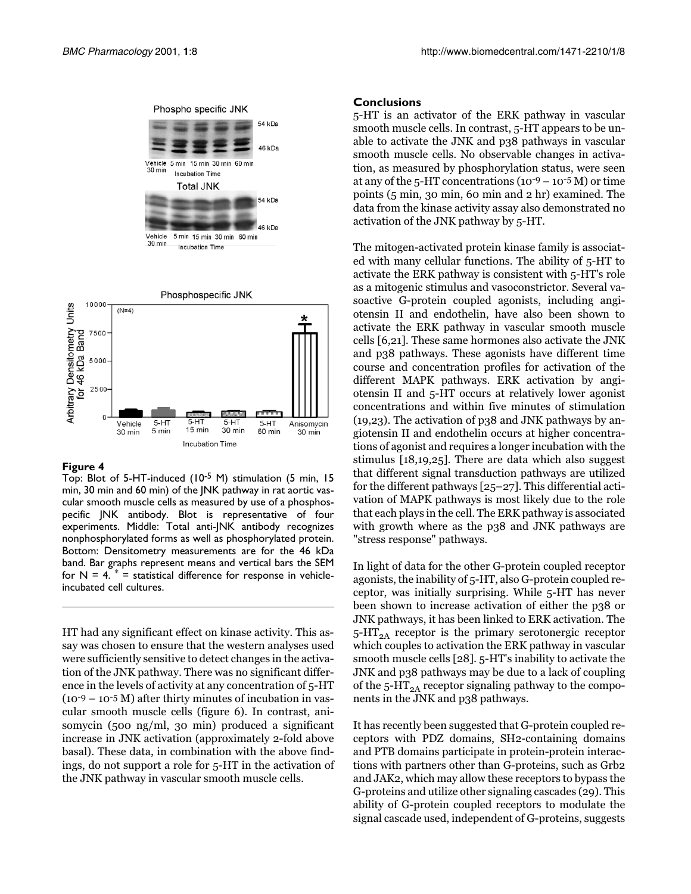



<span id="page-3-0"></span>Top: Blot of 5-HT-induced (10-5 M) stimulation (5 min, 15 min, 30 min and 60 min) of the JNK pathway in rat aortic vascular smooth muscle cells as measured by use of a phosphospecific JNK antibody. Blot is representative of four experiments. Middle: Total anti-JNK antibody recognizes nonphosphorylated forms as well as phosphorylated protein. Bottom: Densitometry measurements are for the 46 kDa band. Bar graphs represent means and vertical bars the SEM for  $N = 4$ .  $* =$  statistical difference for response in vehicleincubated cell cultures.

HT had any significant effect on kinase activity. This assay was chosen to ensure that the western analyses used were sufficiently sensitive to detect changes in the activation of the JNK pathway. There was no significant difference in the levels of activity at any concentration of 5-HT  $(10^{-9} - 10^{-5} M)$  after thirty minutes of incubation in vascular smooth muscle cells (figure [6](#page-5-1)). In contrast, anisomycin (500 ng/ml, 30 min) produced a significant increase in JNK activation (approximately 2-fold above basal). These data, in combination with the above findings, do not support a role for 5-HT in the activation of the JNK pathway in vascular smooth muscle cells.

## **Conclusions**

5-HT is an activator of the ERK pathway in vascular smooth muscle cells. In contrast, 5-HT appears to be unable to activate the JNK and p38 pathways in vascular smooth muscle cells. No observable changes in activation, as measured by phosphorylation status, were seen at any of the  $5$ -HT concentrations  $(10^{-9} - 10^{-5} M)$  or time points (5 min, 30 min, 60 min and 2 hr) examined. The data from the kinase activity assay also demonstrated no activation of the JNK pathway by 5-HT.

The mitogen-activated protein kinase family is associated with many cellular functions. The ability of 5-HT to activate the ERK pathway is consistent with 5-HT's role as a mitogenic stimulus and vasoconstrictor. Several vasoactive G-protein coupled agonists, including angiotensin II and endothelin, have also been shown to activate the ERK pathway in vascular smooth muscle cells [\[6,](#page-6-4)[21\]](#page-6-19). These same hormones also activate the JNK and p38 pathways. These agonists have different time course and concentration profiles for activation of the different MAPK pathways. ERK activation by angiotensin II and 5-HT occurs at relatively lower agonist concentrations and within five minutes of stimulation (19,23). The activation of p38 and JNK pathways by angiotensin II and endothelin occurs at higher concentrations of agonist and requires a longer incubation with the stimulus [[18,](#page-6-16)[19](#page-6-17),[25](#page-6-23)]. There are data which also suggest that different signal transduction pathways are utilized for the different pathways [[25](#page-6-23)–[27\]](#page-6-24). This differential activation of MAPK pathways is most likely due to the role that each plays in the cell. The ERK pathway is associated with growth where as the p38 and JNK pathways are "stress response" pathways.

In light of data for the other G-protein coupled receptor agonists, the inability of 5-HT, also G-protein coupled receptor, was initially surprising. While 5-HT has never been shown to increase activation of either the p38 or JNK pathways, it has been linked to ERK activation. The  $5-HT<sub>2A</sub>$  receptor is the primary serotonergic receptor which couples to activation the ERK pathway in vascular smooth muscle cells [[28](#page-6-25)]. 5-HT's inability to activate the JNK and p38 pathways may be due to a lack of coupling of the  $5-HT_{2A}$  receptor signaling pathway to the components in the JNK and p38 pathways.

It has recently been suggested that G-protein coupled receptors with PDZ domains, SH2-containing domains and PTB domains participate in protein-protein interactions with partners other than G-proteins, such as Grb2 and JAK2, which may allow these receptors to bypass the G-proteins and utilize other signaling cascades (29). This ability of G-protein coupled receptors to modulate the signal cascade used, independent of G-proteins, suggests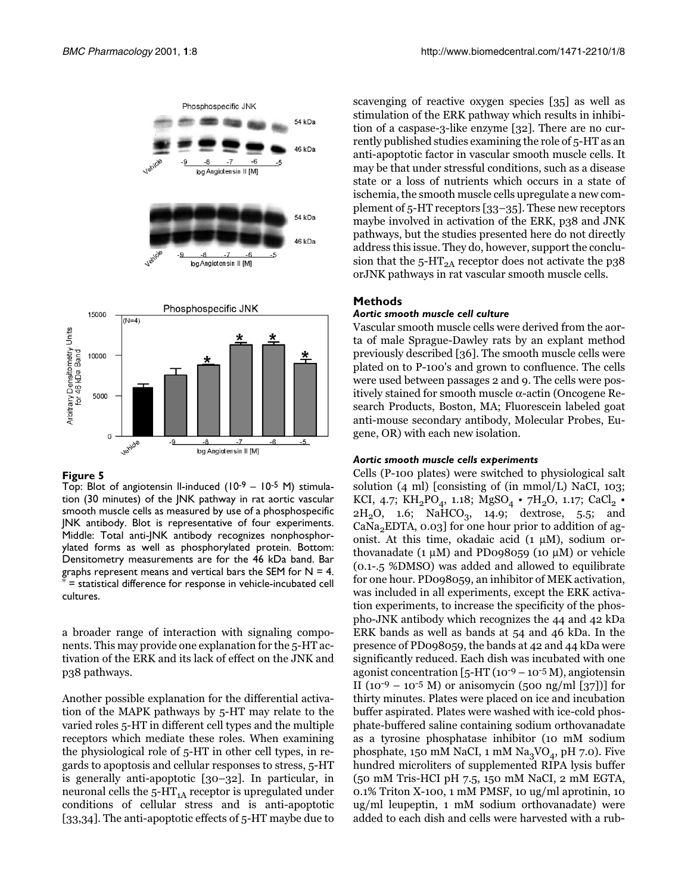

<span id="page-4-0"></span>Top: Blot of angiotensin Il-induced (10-9 - 10-5 M) stimulation (30 minutes) of the JNK pathway in rat aortic vascular smooth muscle cells as measured by use of a phosphospecific JNK antibody. Blot is representative of four experiments. Middle: Total anti-JNK antibody recognizes nonphosphorylated forms as well as phosphorylated protein. Bottom: Densitometry measurements are for the 46 kDa band. Bar graphs represent means and vertical bars the SEM for  $N = 4$ . = statistical difference for response in vehicle-incubated cell cultures.

a broader range of interaction with signaling components. This may provide one explanation for the 5-HT activation of the ERK and its lack of effect on the JNK and p38 pathways.

Another possible explanation for the differential activation of the MAPK pathways by 5-HT may relate to the varied roles 5-HT in different cell types and the multiple receptors which mediate these roles. When examining the physiological role of 5-HT in other cell types, in regards to apoptosis and cellular responses to stress, 5-HT is generally anti-apoptotic [\[30–](#page-6-26)[32\]](#page-6-27). In particular, in neuronal cells the  $5-HT<sub>1A</sub>$  receptor is upregulated under conditions of cellular stress and is anti-apoptotic [[33](#page-6-28)[,34\]](#page-6-29). The anti-apoptotic effects of 5-HT maybe due to

scavenging of reactive oxygen species [\[35\]](#page-6-30) as well as stimulation of the ERK pathway which results in inhibition of a caspase-3-like enzyme [\[32\]](#page-6-27). There are no currently published studies examining the role of 5-HT as an anti-apoptotic factor in vascular smooth muscle cells. It may be that under stressful conditions, such as a disease state or a loss of nutrients which occurs in a state of ischemia, the smooth muscle cells upregulate a new complement of 5-HT receptors [\[33](#page-6-28)[–35\]](#page-6-30). These new receptors maybe involved in activation of the ERK, p38 and JNK pathways, but the studies presented here do not directly address this issue. They do, however, support the conclusion that the  $5$ -HT<sub>2A</sub> receptor does not activate the p38 orJNK pathways in rat vascular smooth muscle cells.

## **Methods**

## *Aortic smooth muscle cell culture*

Vascular smooth muscle cells were derived from the aorta of male Sprague-Dawley rats by an explant method previously described [\[36](#page-6-31)]. The smooth muscle cells were plated on to P-100's and grown to confluence. The cells were used between passages 2 and 9. The cells were positively stained for smooth muscle α-actin (Oncogene Research Products, Boston, MA; Fluorescein labeled goat anti-mouse secondary antibody, Molecular Probes, Eugene, OR) with each new isolation.

#### *Aortic smooth muscle cells experiments*

Cells (P-100 plates) were switched to physiological salt solution (4 ml) [consisting of (in mmol/L) NaCI, 103; KCI, 4.7;  $\text{KH}_{2}\text{PO}_{4}$ , 1.18;  $\text{MgSO}_{4}\cdot$  7 $\text{H}_{2}\text{O}$ , 1.17;  $\text{CaCl}_{2}\cdot$  $2H_2O$ , 1.6; NaHCO<sub>3</sub>, 14.9; dextrose, 5.5; and  $CaNa<sub>2</sub>EDTA$ ,  $0.03$ ] for one hour prior to addition of agonist. At this time, okadaic acid  $(1 \mu M)$ , sodium orthovanadate  $(1 \mu M)$  and PD098059 (10  $\mu$ M) or vehicle (0.1-.5 %DMSO) was added and allowed to equilibrate for one hour. PD098059, an inhibitor of MEK activation, was included in all experiments, except the ERK activation experiments, to increase the specificity of the phospho-JNK antibody which recognizes the 44 and 42 kDa ERK bands as well as bands at 54 and 46 kDa. In the presence of PD098059, the bands at 42 and 44 kDa were significantly reduced. Each dish was incubated with one agonist concentration [5-HT (10-9 – 10-5 M), angiotensin II (10<sup>-9</sup> – 10<sup>-5</sup> M) or anisomycin (500 ng/ml [\[37](#page-6-32)])] for thirty minutes. Plates were placed on ice and incubation buffer aspirated. Plates were washed with ice-cold phosphate-buffered saline containing sodium orthovanadate as a tyrosine phosphatase inhibitor (10 mM sodium phosphate, 150 mM NaCI, 1 mM  $\text{Na}_3\text{VO}_4$ , pH 7.0). Five hundred microliters of supplemented RIPA lysis buffer (50 mM Tris-HCI pH 7.5, 150 mM NaCI, 2 mM EGTA, 0.1% Triton X-100, 1 mM PMSF, 10 ug/ml aprotinin, 10 ug/ml leupeptin, 1 mM sodium orthovanadate) were added to each dish and cells were harvested with a rub-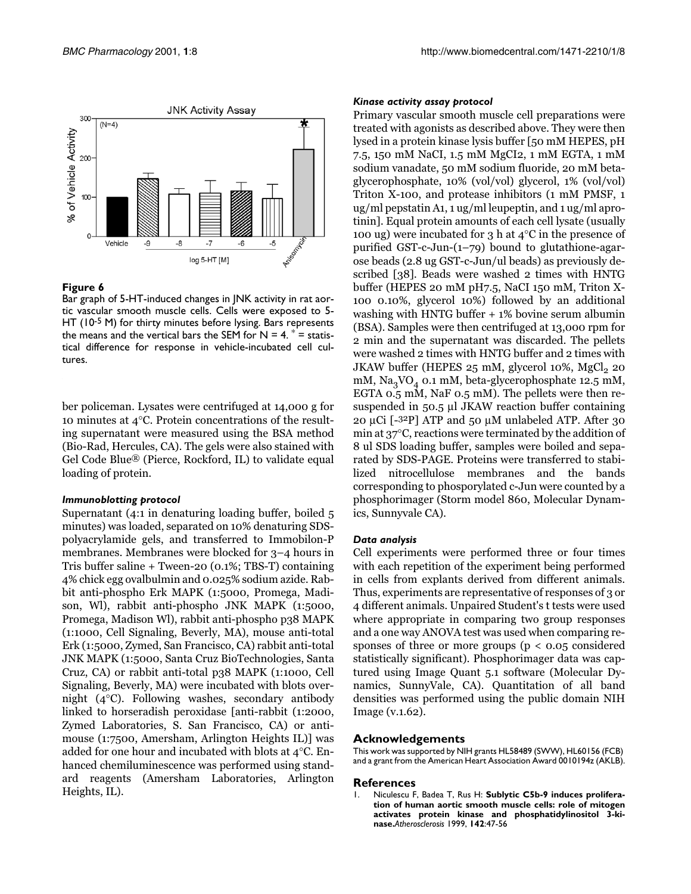

<span id="page-5-1"></span>Bar graph of 5-HT-induced changes in JNK activity in rat aortic vascular smooth muscle cells. Cells were exposed to 5- HT (10<sup>-5</sup> M) for thirty minutes before lysing. Bars represents the means and the vertical bars the SEM for  $N = 4$ .  $* =$  statistical difference for response in vehicle-incubated cell cultures.

ber policeman. Lysates were centrifuged at 14,000 g for 10 minutes at 4°C. Protein concentrations of the resulting supernatant were measured using the BSA method (Bio-Rad, Hercules, CA). The gels were also stained with Gel Code Blue® (Pierce, Rockford, IL) to validate equal loading of protein.

#### *Immunoblotting protocol*

Supernatant (4:1 in denaturing loading buffer, boiled 5 minutes) was loaded, separated on 10% denaturing SDSpolyacrylamide gels, and transferred to Immobilon-P membranes. Membranes were blocked for 3–4 hours in Tris buffer saline + Tween-20 (0.1%; TBS-T) containing 4% chick egg ovalbulmin and 0.025% sodium azide. Rabbit anti-phospho Erk MAPK (1:5000, Promega, Madison, Wl), rabbit anti-phospho JNK MAPK (1:5000, Promega, Madison Wl), rabbit anti-phospho p38 MAPK (1:1000, Cell Signaling, Beverly, MA), mouse anti-total Erk (1:5000, Zymed, San Francisco, CA) rabbit anti-total JNK MAPK (1:5000, Santa Cruz BioTechnologies, Santa Cruz, CA) or rabbit anti-total p38 MAPK (1:1000, Cell Signaling, Beverly, MA) were incubated with blots overnight (4°C). Following washes, secondary antibody linked to horseradish peroxidase [anti-rabbit (1:2000, Zymed Laboratories, S. San Francisco, CA) or antimouse (1:7500, Amersham, Arlington Heights IL)] was added for one hour and incubated with blots at 4°C. Enhanced chemiluminescence was performed using standard reagents (Amersham Laboratories, Arlington Heights, IL).

## *Kinase activity assay protocol*

Primary vascular smooth muscle cell preparations were treated with agonists as described above. They were then lysed in a protein kinase lysis buffer [50 mM HEPES, pH 7.5, 150 mM NaCI, 1.5 mM MgCI2, 1 mM EGTA, 1 mM sodium vanadate, 50 mM sodium fluoride, 20 mM betaglycerophosphate, 10% (vol/vol) glycerol, 1% (vol/vol) Triton X-100, and protease inhibitors (1 mM PMSF, 1 ug/ml pepstatin A1, 1 ug/ml leupeptin, and 1 ug/ml aprotinin]. Equal protein amounts of each cell lysate (usually 100 ug) were incubated for 3 h at  $4^{\circ}$ C in the presence of purified GST-c-Jun-(1–79) bound to glutathione-agarose beads (2.8 ug GST-c-Jun/ul beads) as previously described [\[38](#page-6-33)]. Beads were washed 2 times with HNTG buffer (HEPES 20 mM pH7.5, NaCI 150 mM, Triton X-100 0.10%, glycerol 10%) followed by an additional washing with HNTG buffer + 1% bovine serum albumin (BSA). Samples were then centrifuged at 13,000 rpm for 2 min and the supernatant was discarded. The pellets were washed 2 times with HNTG buffer and 2 times with JKAW buffer (HEPES  $25 \text{ mM}$ , glycerol  $10\%$ , MgCl<sub>2</sub> 20 mM,  $\text{Na}_3\text{VO}_4$  0.1 mM, beta-glycerophosphate 12.5 mM, EGTA 0.5 mM, NaF 0.5 mM). The pellets were then resuspended in 50.5 µl JKAW reaction buffer containing 20 µCi [-32P] ATP and 50 µM unlabeled ATP. After 30 min at 37°C, reactions were terminated by the addition of 8 ul SDS loading buffer, samples were boiled and separated by SDS-PAGE. Proteins were transferred to stabilized nitrocellulose membranes and the bands corresponding to phosporylated c-Jun were counted by a phosphorimager (Storm model 860, Molecular Dynamics, Sunnyvale CA).

## *Data analysis*

Cell experiments were performed three or four times with each repetition of the experiment being performed in cells from explants derived from different animals. Thus, experiments are representative of responses of 3 or 4 different animals. Unpaired Student's t tests were used where appropriate in comparing two group responses and a one way ANOVA test was used when comparing responses of three or more groups ( $p < 0.05$  considered statistically significant). Phosphorimager data was captured using Image Quant 5.1 software (Molecular Dynamics, SunnyVale, CA). Quantitation of all band densities was performed using the public domain NIH Image (v.1.62).

#### **Acknowledgements**

This work was supported by NIH grants HL58489 (SWW), HL60156 (FCB) and a grant from the American Heart Association Award 0010194z (AKLB).

#### **References**

<span id="page-5-0"></span>Niculescu F, Badea T, Rus H: Sublytic C5b-9 induces prolifera**tion of human aortic smooth muscle cells: role of mitogen activates protein kinase and phosphatidylinositol 3-kinase.***Atherosclerosis* 1999, **142**:47-56